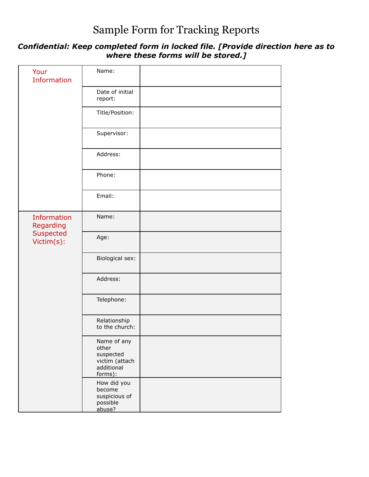## Sample Form for Tracking Reports

## *Confidential: Keep completed form in locked file. [Provide direction here as to where these forms will be stored.]*

| Your<br><b>Information</b>                          | Name:                                                                        |  |
|-----------------------------------------------------|------------------------------------------------------------------------------|--|
|                                                     | Date of initial<br>report:                                                   |  |
|                                                     | Title/Position:                                                              |  |
|                                                     | Supervisor:                                                                  |  |
|                                                     | Address:                                                                     |  |
|                                                     | Phone:                                                                       |  |
|                                                     | Email:                                                                       |  |
| Information<br>Regarding<br>Suspected<br>Victim(s): | Name:                                                                        |  |
|                                                     | Age:                                                                         |  |
|                                                     | Biological sex:                                                              |  |
|                                                     | Address:                                                                     |  |
|                                                     | Telephone:                                                                   |  |
|                                                     | Relationship<br>to the church:                                               |  |
|                                                     | Name of any<br>other<br>suspected<br>victim (attach<br>additional<br>forms): |  |
|                                                     | How did you<br>become<br>suspicious of<br>possible<br>abuse?                 |  |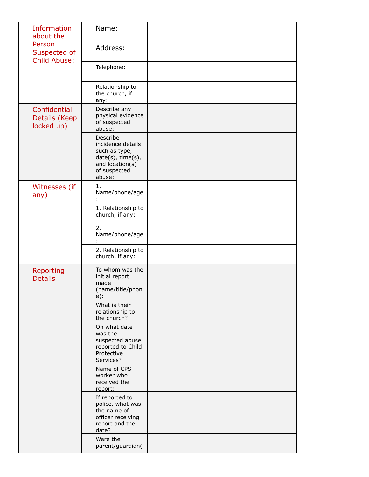| <b>Information</b><br>about the<br>Person<br>Suspected of<br><b>Child Abuse:</b> | Name:                                                                                                            |  |
|----------------------------------------------------------------------------------|------------------------------------------------------------------------------------------------------------------|--|
|                                                                                  | Address:                                                                                                         |  |
|                                                                                  | Telephone:                                                                                                       |  |
|                                                                                  | Relationship to<br>the church, if<br>any:                                                                        |  |
| Confidential<br>Details (Keep<br>locked up)                                      | Describe any<br>physical evidence<br>of suspected<br>abuse:                                                      |  |
|                                                                                  | Describe<br>incidence details<br>such as type,<br>date(s), time(s),<br>and location(s)<br>of suspected<br>abuse: |  |
| Witnesses (if<br>any)                                                            | 1.<br>Name/phone/age                                                                                             |  |
|                                                                                  | 1. Relationship to<br>church, if any:                                                                            |  |
|                                                                                  | 2.<br>Name/phone/age                                                                                             |  |
|                                                                                  | 2. Relationship to<br>church, if any:                                                                            |  |
| Reporting<br><b>Details</b>                                                      | To whom was the<br>initial report<br>made<br>(name/title/phon<br>$e)$ :                                          |  |
|                                                                                  | What is their<br>relationship to<br>the church?                                                                  |  |
|                                                                                  | On what date<br>was the<br>suspected abuse<br>reported to Child<br>Protective<br>Services?                       |  |
|                                                                                  | Name of CPS<br>worker who<br>received the<br>report:                                                             |  |
|                                                                                  | If reported to<br>police, what was<br>the name of<br>officer receiving<br>report and the<br>date?                |  |
|                                                                                  | Were the<br>parent/guardian(                                                                                     |  |